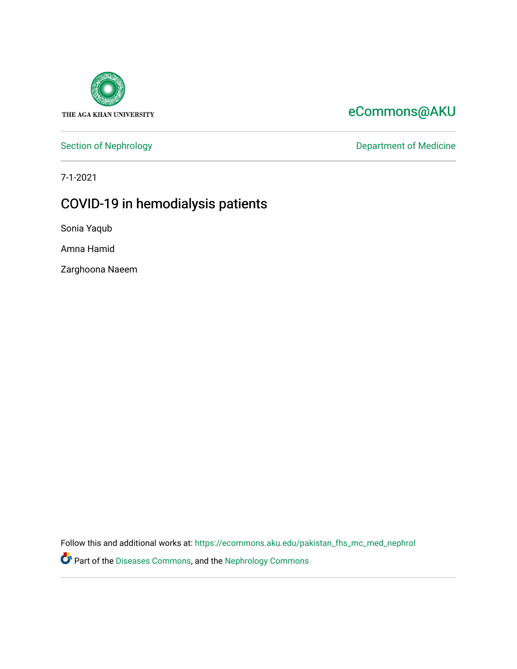

### [eCommons@AKU](https://ecommons.aku.edu/)

[Section of Nephrology](https://ecommons.aku.edu/pakistan_fhs_mc_med_nephrol) **Department of Medicine** 

7-1-2021

## COVID-19 in hemodialysis patients

Sonia Yaqub

Amna Hamid

Zarghoona Naeem

Follow this and additional works at: [https://ecommons.aku.edu/pakistan\\_fhs\\_mc\\_med\\_nephrol](https://ecommons.aku.edu/pakistan_fhs_mc_med_nephrol?utm_source=ecommons.aku.edu%2Fpakistan_fhs_mc_med_nephrol%2F73&utm_medium=PDF&utm_campaign=PDFCoverPages)

Part of the [Diseases Commons](http://network.bepress.com/hgg/discipline/813?utm_source=ecommons.aku.edu%2Fpakistan_fhs_mc_med_nephrol%2F73&utm_medium=PDF&utm_campaign=PDFCoverPages), and the [Nephrology Commons](http://network.bepress.com/hgg/discipline/691?utm_source=ecommons.aku.edu%2Fpakistan_fhs_mc_med_nephrol%2F73&utm_medium=PDF&utm_campaign=PDFCoverPages)